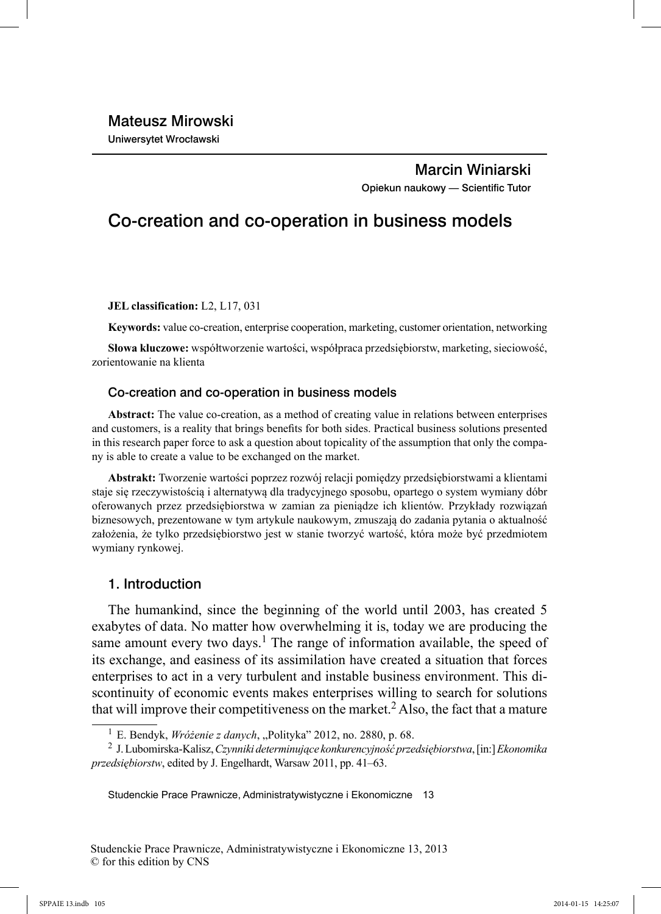## Marcin Winiarski Opiekun naukowy - Scientific Tutor

# Co-creation and co-operation in business models

**JEL classification:** L2, L17, 031

**Keywords:** value co-creation, enterprise cooperation, marketing, customer orientation, networking

**Słowa kluczowe:** współtworzenie wartości, współpraca przedsiębiorstw, marketing, sieciowość, zorientowanie na klienta

### Co-creation and co-operation in business models

**Abstract:** The value co-creation, as a method of creating value in relations between enterprises and customers, is a reality that brings benefits for both sides. Practical business solutions presented in this research paper force to ask a question about topicality of the assumption that only the company is able to create a value to be exchanged on the market.

**Abstrakt:** Tworzenie wartości poprzez rozwój relacji pomiędzy przedsiębiorstwami a klientami staje się rzeczywistością i alternatywą dla tradycyjnego sposobu, opartego o system wymiany dóbr oferowanych przez przedsiębiorstwa w zamian za pieniądze ich klientów. Przykłady rozwiązań biznesowych, prezentowane w tym artykule naukowym, zmuszają do zadania pytania o aktualność założenia, że tylko przedsiębiorstwo jest w stanie tworzyć wartość, która może być przedmiotem wymiany rynkowej.

### 1. Introduction

The humankind, since the beginning of the world until 2003, has created 5 exabytes of data. No matter how overwhelming it is, today we are producing the same amount every two days.<sup>1</sup> The range of information available, the speed of its exchange, and easiness of its assimilation have created a situation that forces enterprises to act in a very turbulent and instable business environment. This discontinuity of economic events makes enterprises willing to search for solutions that will improve their competitiveness on the market.<sup>2</sup> Also, the fact that a mature

<sup>&</sup>lt;sup>1</sup> E. Bendyk, *Wróżenie z danych*, "Polityka" 2012, no. 2880, p. 68.

<sup>2</sup> J. Lubomirska-Kalisz, *Czynniki determinujące konkurencyjność przedsiębiorstwa*, [in:] *Ekonomika przedsiębiorstw*, edited by J. Engelhardt, Warsaw 2011, pp. 41–63.

Studenckie Prace Prawnicze, Administratywistyczne i Ekonomiczne 13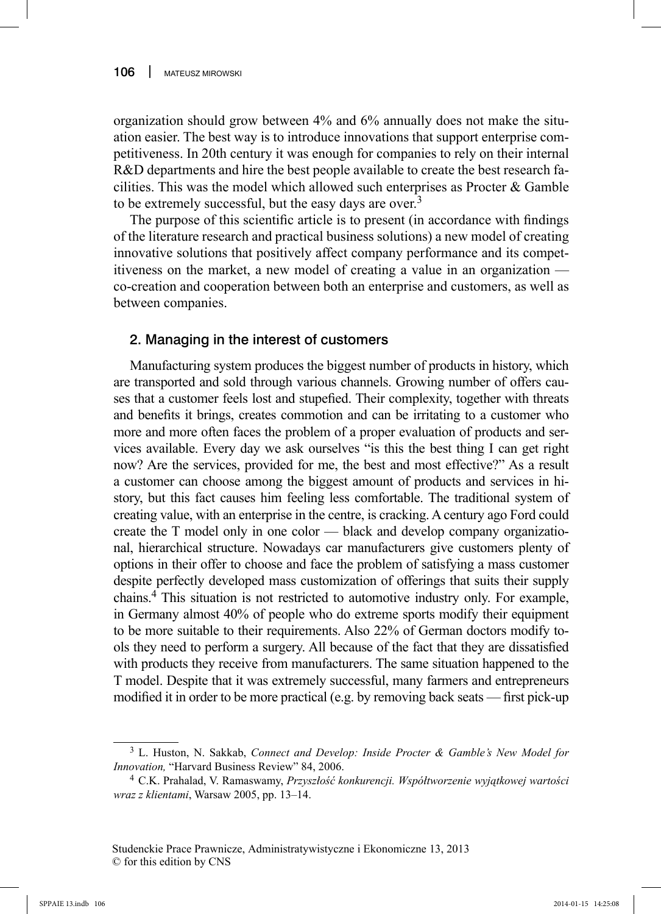organization should grow between 4% and 6% annually does not make the situation easier. The best way is to introduce innovations that support enterprise competitiveness. In 20th century it was enough for companies to rely on their internal R&D departments and hire the best people available to create the best research facilities. This was the model which allowed such enterprises as Procter  $\&$  Gamble to be extremely successful, but the easy days are over.<sup>3</sup>

The purpose of this scientific article is to present (in accordance with findings of the literature research and practical business solutions) a new model of creating innovative solutions that positively affect company performance and its competitiveness on the market, a new model of creating a value in an organization co-creation and cooperation between both an enterprise and customers, as well as between companies.

### 2. Managing in the interest of customers

Manufacturing system produces the biggest number of products in history, which are transported and sold through various channels. Growing number of offers causes that a customer feels lost and stupefied. Their complexity, together with threats and benefits it brings, creates commotion and can be irritating to a customer who more and more often faces the problem of a proper evaluation of products and services available. Every day we ask ourselves "is this the best thing I can get right now? Are the services, provided for me, the best and most effective?" As a result a customer can choose among the biggest amount of products and services in history, but this fact causes him feeling less comfortable. The traditional system of creating value, with an enterprise in the centre, is cracking. A century ago Ford could create the T model only in one color — black and develop company organizational, hierarchical structure. Nowadays car manufacturers give customers plenty of options in their offer to choose and face the problem of satisfying a mass customer despite perfectly developed mass customization of offerings that suits their supply chains.4 This situation is not restricted to automotive industry only. For example, in Germany almost 40% of people who do extreme sports modify their equipment to be more suitable to their requirements. Also 22% of German doctors modify tools they need to perform a surgery. All because of the fact that they are dissatisfied with products they receive from manufacturers. The same situation happened to the T model. Despite that it was extremely successful, many farmers and entrepreneurs modified it in order to be more practical (e.g. by removing back seats — first pick-up

<sup>3</sup> L. Huston, N. Sakkab, *Connect and Develop: Inside Procter & Gamble's New Model for Innovation,* "Harvard Business Review" 84, 2006.

<sup>4</sup> C.K. Prahalad, V. Ramaswamy, *Przyszłość konkurencji. Współtworzenie wyjątkowej wartości wraz z klientami*, Warsaw 2005, pp. 13–14.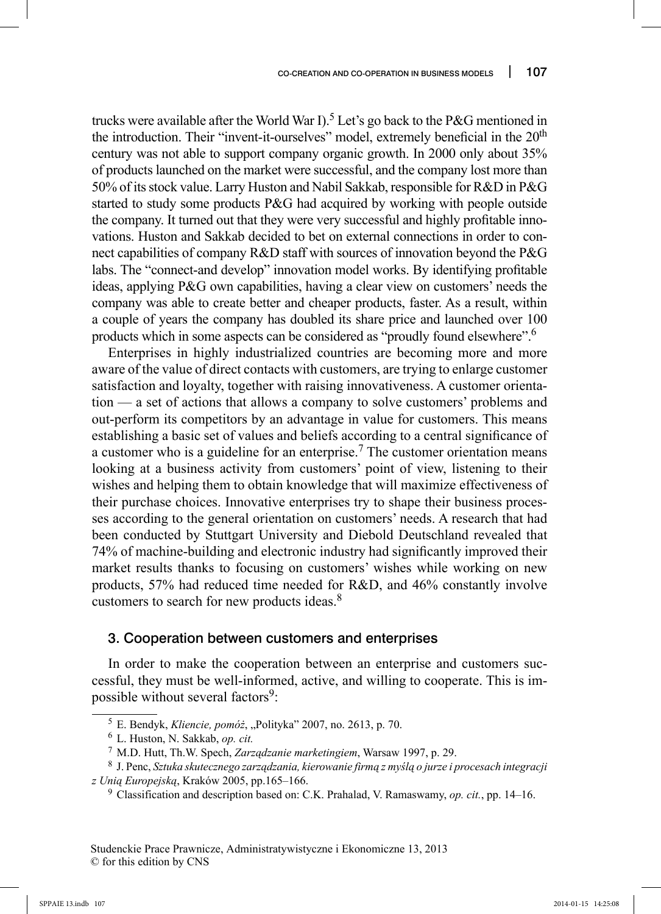trucks were available after the World War I).<sup>5</sup> Let's go back to the P&G mentioned in the introduction. Their "invent-it-ourselves" model, extremely beneficial in the 20<sup>th</sup> century was not able to support company organic growth. In 2000 only about 35% of products launched on the market were successful, and the company lost more than 50% of its stock value. Larry Huston and Nabil Sakkab, responsible for R&D in P&G started to study some products P&G had acquired by working with people outside the company. It turned out that they were very successful and highly profitable innovations. Huston and Sakkab decided to bet on external connections in order to connect capabilities of company R&D staff with sources of innovation beyond the P&G labs. The "connect-and develop" innovation model works. By identifying profitable ideas, applying P&G own capabilities, having a clear view on customers' needs the company was able to create better and cheaper products, faster. As a result, within a couple of years the company has doubled its share price and launched over 100 products which in some aspects can be considered as "proudly found elsewhere".6

Enterprises in highly industrialized countries are becoming more and more aware of the value of direct contacts with customers, are trying to enlarge customer satisfaction and loyalty, together with raising innovativeness. A customer orientation — a set of actions that allows a company to solve customers' problems and out-perform its competitors by an advantage in value for customers. This means establishing a basic set of values and beliefs according to a central significance of a customer who is a guideline for an enterprise.<sup>7</sup> The customer orientation means looking at a business activity from customers' point of view, listening to their wishes and helping them to obtain knowledge that will maximize effectiveness of their purchase choices. Innovative enterprises try to shape their business processes according to the general orientation on customers' needs. A research that had been conducted by Stuttgart University and Diebold Deutschland revealed that 74% of machine-building and electronic industry had significantly improved their market results thanks to focusing on customers' wishes while working on new products, 57% had reduced time needed for R&D, and 46% constantly involve customers to search for new products ideas.8

### 3. Cooperation between customers and enterprises

In order to make the cooperation between an enterprise and customers successful, they must be well-informed, active, and willing to cooperate. This is impossible without several factors<sup>9</sup>:

<sup>5</sup> E. Bendyk, *Kliencie, pomóż*, "Polityka" 2007, no. 2613, p. 70.

<sup>6</sup> L. Huston, N. Sakkab, *op. cit.*

<sup>7</sup> M.D. Hutt, Th.W. Spech, *Zarządzanie marketingiem*, Warsaw 1997, p. 29.

<sup>8</sup> J. Penc, *Sztuka skutecznego zarządzania, kierowanie firmą z myślą o jurze i procesach integracji z Unią Europejską*, Kraków 2005, pp.165–166.

<sup>9</sup> Classification and description based on: C.K. Prahalad, V. Ramaswamy, *op. cit.*, pp. 14–16.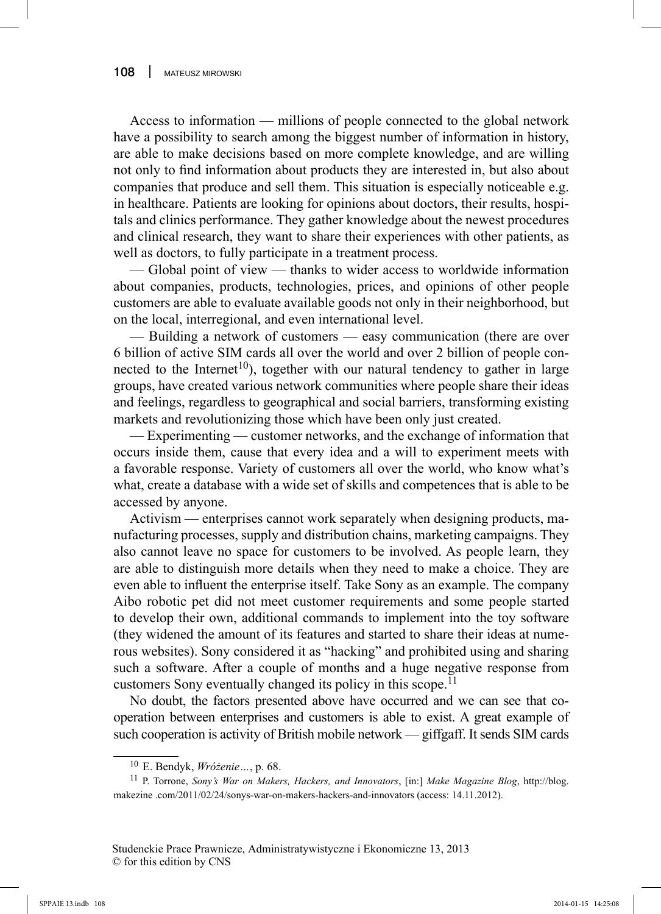Access to information — millions of people connected to the global network have a possibility to search among the biggest number of information in history, are able to make decisions based on more complete knowledge, and are willing not only to find information about products they are interested in, but also about companies that produce and sell them. This situation is especially noticeable e.g. in healthcare. Patients are looking for opinions about doctors, their results, hospitals and clinics performance. They gather knowledge about the newest procedures and clinical research, they want to share their experiences with other patients, as well as doctors, to fully participate in a treatment process.

— Global point of view — thanks to wider access to worldwide information about companies, products, technologies, prices, and opinions of other people customers are able to evaluate available goods not only in their neighborhood, but on the local, interregional, and even international level.

— Building a network of customers — easy communication (there are over 6 billion of active SIM cards all over the world and over 2 billion of people connected to the Internet<sup>10</sup>), together with our natural tendency to gather in large groups, have created various network communities where people share their ideas and feelings, regardless to geographical and social barriers, transforming existing markets and revolutionizing those which have been only just created.

— Experimenting — customer networks, and the exchange of information that occurs inside them, cause that every idea and a will to experiment meets with a favorable response. Variety of customers all over the world, who know what's what, create a database with a wide set of skills and competences that is able to be accessed by anyone.

Activism — enterprises cannot work separately when designing products, manufacturing processes, supply and distribution chains, marketing campaigns. They also cannot leave no space for customers to be involved. As people learn, they are able to distinguish more details when they need to make a choice. They are even able to influent the enterprise itself. Take Sony as an example. The company Aibo robotic pet did not meet customer requirements and some people started to develop their own, additional commands to implement into the toy software (they widened the amount of its features and started to share their ideas at numerous websites). Sony considered it as "hacking" and prohibited using and sharing such a software. After a couple of months and a huge negative response from customers Sony eventually changed its policy in this scope.<sup>11</sup>

No doubt, the factors presented above have occurred and we can see that cooperation between enterprises and customers is able to exist. A great example of such cooperation is activity of British mobile network — giffgaff. It sends SIM cards

<sup>10</sup> E. Bendyk, *Wróżenie…*, p. 68.

<sup>11</sup> P. Torrone, *Sony's War on Makers, Hackers, and Innovators*, [in:] *Make Magazine Blog*, http://blog. makezine .com/2011/02/24/sonys-war-on-makers-hackers-and-innovators (access: 14.11.2012).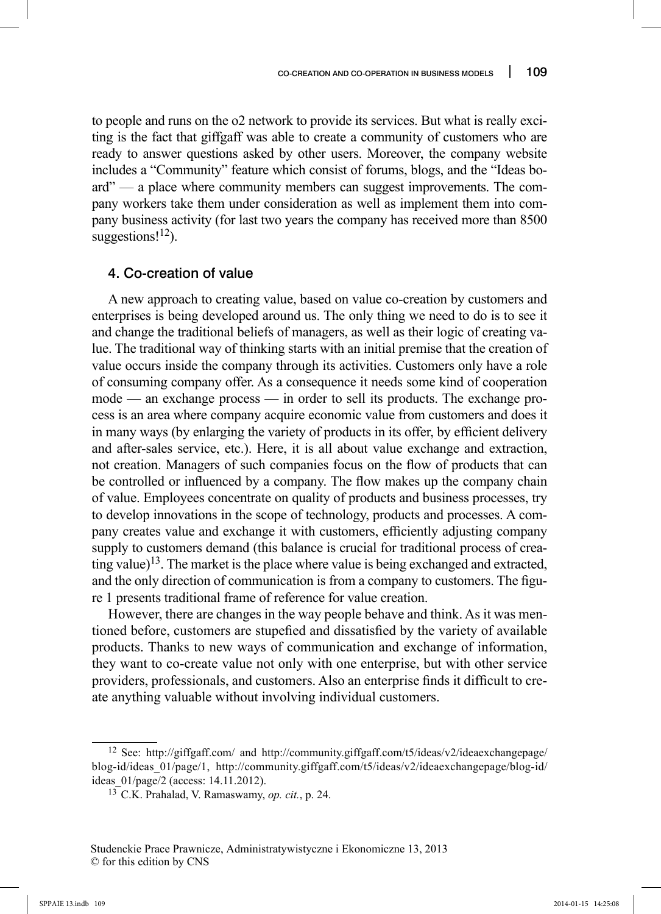to people and runs on the o2 network to provide its services. But what is really exciting is the fact that giffgaff was able to create a community of customers who are ready to answer questions asked by other users. Moreover, the company website includes a "Community" feature which consist of forums, blogs, and the "Ideas board" — a place where community members can suggest improvements. The company workers take them under consideration as well as implement them into company business activity (for last two years the company has received more than 8500 suggestions! $^{12}$ ).

### 4. Co-creation of value

A new approach to creating value, based on value co-creation by customers and enterprises is being developed around us. The only thing we need to do is to see it and change the traditional beliefs of managers, as well as their logic of creating value. The traditional way of thinking starts with an initial premise that the creation of value occurs inside the company through its activities. Customers only have a role of consuming company offer. As a consequence it needs some kind of cooperation mode — an exchange process — in order to sell its products. The exchange process is an area where company acquire economic value from customers and does it in many ways (by enlarging the variety of products in its offer, by efficient delivery and after-sales service, etc.). Here, it is all about value exchange and extraction, not creation. Managers of such companies focus on the flow of products that can be controlled or influenced by a company. The flow makes up the company chain of value. Employees concentrate on quality of products and business processes, try to develop innovations in the scope of technology, products and processes. A company creates value and exchange it with customers, efficiently adjusting company supply to customers demand (this balance is crucial for traditional process of creating value)<sup>13</sup>. The market is the place where value is being exchanged and extracted, and the only direction of communication is from a company to customers. The figure 1 presents traditional frame of reference for value creation.

However, there are changes in the way people behave and think. As it was mentioned before, customers are stupefied and dissatisfied by the variety of available products. Thanks to new ways of communication and exchange of information, they want to co-create value not only with one enterprise, but with other service providers, professionals, and customers. Also an enterprise finds it difficult to create anything valuable without involving individual customers.

<sup>12</sup> See: http://giffgaff.com/ and http://community.giffgaff.com/t5/ideas/v2/ideaexchangepage/ blog-id/ideas\_01/page/1, http://community.giffgaff.com/t5/ideas/v2/ideaexchangepage/blog-id/ ideas\_01/page/2 (access: 14.11.2012).

<sup>13</sup> C.K. Prahalad, V. Ramaswamy, *op. cit.*, p. 24.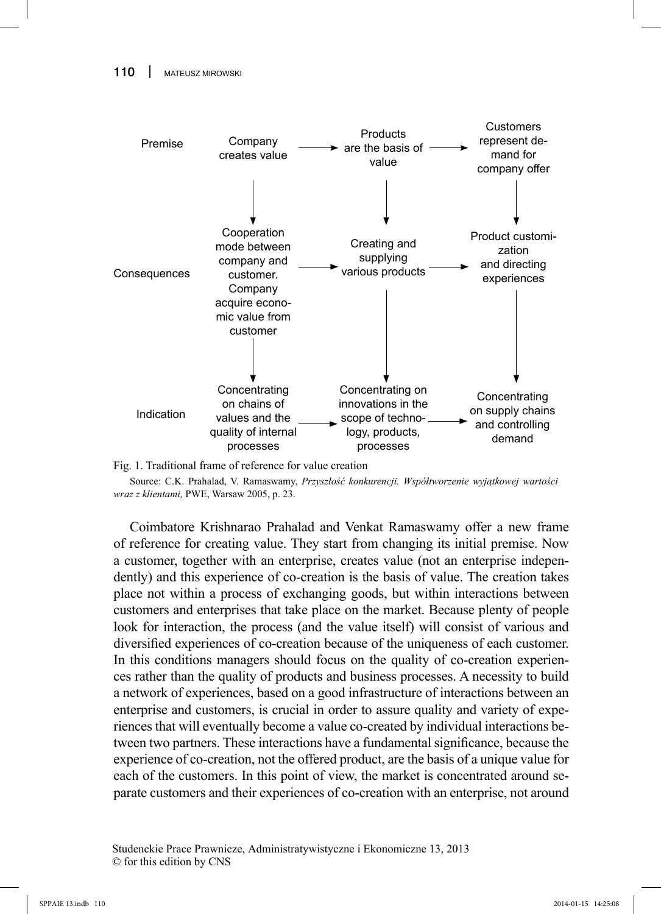

Fig. 1. Traditional frame of reference for value creation

Source: C.K. Prahalad, V. Ramaswamy, *Przyszłość konkurencji. Współtworzenie wyjątkowej wartości wraz z klientami,* PWE, Warsaw 2005, p. 23.

Coimbatore Krishnarao Prahalad and Venkat Ramaswamy offer a new frame of reference for creating value. They start from changing its initial premise. Now a customer, together with an enterprise, creates value (not an enterprise independently) and this experience of co-creation is the basis of value. The creation takes place not within a process of exchanging goods, but within interactions between customers and enterprises that take place on the market. Because plenty of people look for interaction, the process (and the value itself) will consist of various and diversified experiences of co-creation because of the uniqueness of each customer. In this conditions managers should focus on the quality of co-creation experiences rather than the quality of products and business processes. A necessity to build a network of experiences, based on a good infrastructure of interactions between an enterprise and customers, is crucial in order to assure quality and variety of experiences that will eventually become a value co-created by individual interactions between two partners. These interactions have a fundamental significance, because the experience of co-creation, not the offered product, are the basis of a unique value for each of the customers. In this point of view, the market is concentrated around separate customers and their experiences of co-creation with an enterprise, not around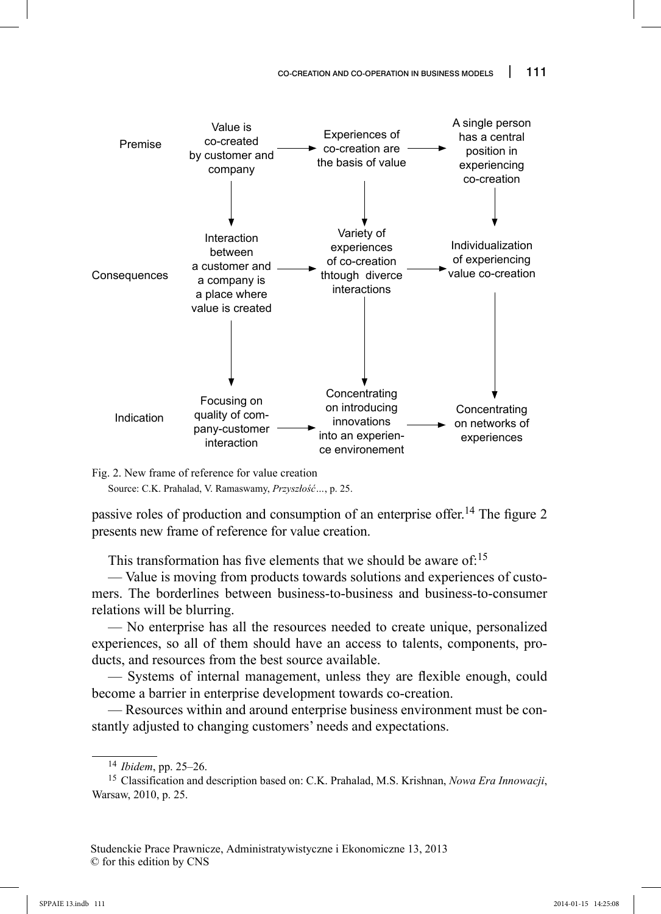

Fig. 2. New frame of reference for value creation

Source: C.K. Prahalad, V. Ramaswamy, *Przyszłość…*, p. 25.

passive roles of production and consumption of an enterprise offer.<sup>14</sup> The figure 2 presents new frame of reference for value creation.

This transformation has five elements that we should be aware of: $15$ 

— Value is moving from products towards solutions and experiences of customers. The borderlines between business-to-business and business-to-consumer relations will be blurring.

— No enterprise has all the resources needed to create unique, personalized experiences, so all of them should have an access to talents, components, products, and resources from the best source available.

— Systems of internal management, unless they are flexible enough, could become a barrier in enterprise development towards co-creation.

— Resources within and around enterprise business environment must be constantly adjusted to changing customers' needs and expectations.

<sup>14</sup>*Ibidem*, pp. 25–26.

<sup>15</sup> Classification and description based on: C.K. Prahalad, M.S. Krishnan, *Nowa Era Innowacji*, Warsaw, 2010, p. 25.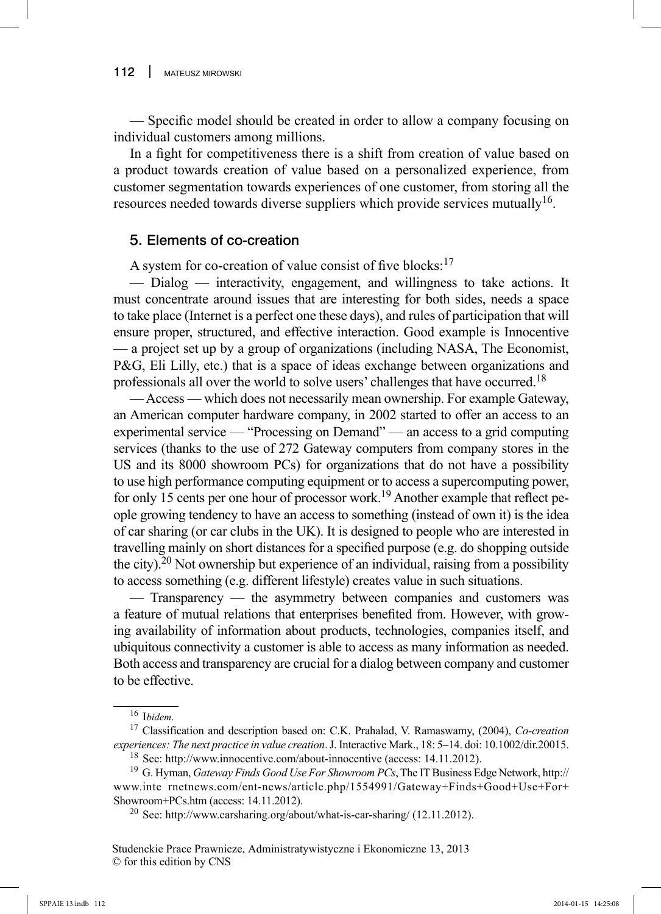— Specific model should be created in order to allow a company focusing on individual customers among millions.

In a fight for competitiveness there is a shift from creation of value based on a product towards creation of value based on a personalized experience, from customer segmentation towards experiences of one customer, from storing all the resources needed towards diverse suppliers which provide services mutually<sup>16</sup>.

# 5. Elements of co-creation

A system for co-creation of value consist of five blocks: $17$ 

— Dialog — interactivity, engagement, and willingness to take actions. It must concentrate around issues that are interesting for both sides, needs a space to take place (Internet is a perfect one these days), and rules of participation that will ensure proper, structured, and effective interaction. Good example is Innocentive — a project set up by a group of organizations (including NASA, The Economist, P&G, Eli Lilly, etc.) that is a space of ideas exchange between organizations and professionals all over the world to solve users' challenges that have occurred.<sup>18</sup>

— Access — which does not necessarily mean ownership. For example Gateway, an American computer hardware company, in 2002 started to offer an access to an experimental service — "Processing on Demand" — an access to a grid computing services (thanks to the use of 272 Gateway computers from company stores in the US and its 8000 showroom PCs) for organizations that do not have a possibility to use high performance computing equipment or to access a supercomputing power, for only 15 cents per one hour of processor work.<sup>19</sup> Another example that reflect people growing tendency to have an access to something (instead of own it) is the idea of car sharing (or car clubs in the UK). It is designed to people who are interested in travelling mainly on short distances for a specified purpose (e.g. do shopping outside the city).<sup>20</sup> Not ownership but experience of an individual, raising from a possibility to access something (e.g. different lifestyle) creates value in such situations.

— Transparency — the asymmetry between companies and customers was a feature of mutual relations that enterprises benefited from. However, with growing availability of information about products, technologies, companies itself, and ubiquitous connectivity a customer is able to access as many information as needed. Both access and transparency are crucial for a dialog between company and customer to be effective.

<sup>16</sup> I*bidem*.

<sup>17</sup> Classification and description based on: C.K. Prahalad, V. Ramaswamy, (2004), *Co-creation experiences: The next practice in value creation*. J. Interactive Mark., 18: 5–14. doi: 10.1002/dir.20015. 18 See: http://www.innocentive.com/about-innocentive (access: 14.11.2012).

<sup>19</sup> G. Hyman, *Gateway Finds Good Use For Showroom PCs*, The IT Business Edge Network, http:// www.inte rnetnews.com/ent-news/article.php/1554991/Gateway+Finds+Good+Use+For+ Showroom+PCs.htm (access: 14.11.2012).

<sup>&</sup>lt;sup>20</sup> See: http://www.carsharing.org/about/what-is-car-sharing/  $(12.11.2012)$ .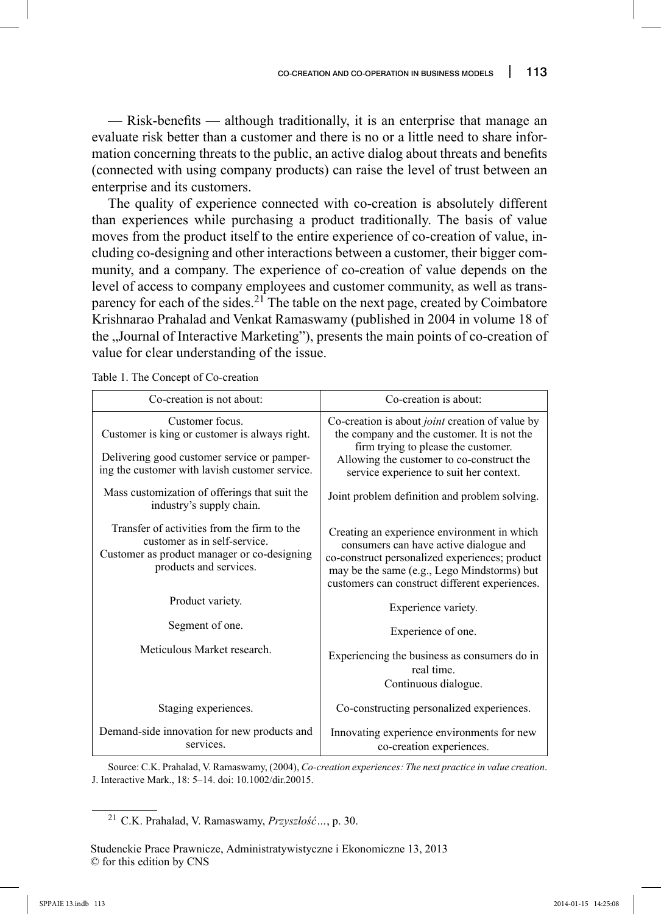— Risk-benefits — although traditionally, it is an enterprise that manage an evaluate risk better than a customer and there is no or a little need to share information concerning threats to the public, an active dialog about threats and benefits (connected with using company products) can raise the level of trust between an enterprise and its customers.

The quality of experience connected with co-creation is absolutely different than experiences while purchasing a product traditionally. The basis of value moves from the product itself to the entire experience of co-creation of value, including co-designing and other interactions between a customer, their bigger community, and a company. The experience of co-creation of value depends on the level of access to company employees and customer community, as well as transparency for each of the sides.<sup>21</sup> The table on the next page, created by Coimbatore Krishnarao Prahalad and Venkat Ramaswamy (published in 2004 in volume 18 of the "Journal of Interactive Marketing"), presents the main points of co-creation of value for clear understanding of the issue.

| Co-creation is not about:                                                                                                                                         | Co-creation is about:                                                                                                                                                                                                                    |
|-------------------------------------------------------------------------------------------------------------------------------------------------------------------|------------------------------------------------------------------------------------------------------------------------------------------------------------------------------------------------------------------------------------------|
| Customer focus.<br>Customer is king or customer is always right.<br>Delivering good customer service or pamper-<br>ing the customer with lavish customer service. | Co-creation is about <i>joint</i> creation of value by<br>the company and the customer. It is not the<br>firm trying to please the customer.<br>Allowing the customer to co-construct the<br>service experience to suit her context.     |
| Mass customization of offerings that suit the<br>industry's supply chain.                                                                                         | Joint problem definition and problem solving.                                                                                                                                                                                            |
| Transfer of activities from the firm to the<br>customer as in self-service.<br>Customer as product manager or co-designing<br>products and services.              | Creating an experience environment in which<br>consumers can have active dialogue and<br>co-construct personalized experiences; product<br>may be the same (e.g., Lego Mindstorms) but<br>customers can construct different experiences. |
| Product variety.                                                                                                                                                  | Experience variety.                                                                                                                                                                                                                      |
| Segment of one.                                                                                                                                                   | Experience of one.                                                                                                                                                                                                                       |
| Meticulous Market research.                                                                                                                                       | Experiencing the business as consumers do in<br>real time.<br>Continuous dialogue.                                                                                                                                                       |
| Staging experiences.                                                                                                                                              | Co-constructing personalized experiences.                                                                                                                                                                                                |
| Demand-side innovation for new products and<br>services.                                                                                                          | Innovating experience environments for new<br>co-creation experiences.                                                                                                                                                                   |

Table 1. The Concept of Co-creation

Source: C.K. Prahalad, V. Ramaswamy, (2004), *Co-creation experiences: The next practice in value creation*. J. Interactive Mark., 18: 5–14. doi: 10.1002/dir.20015.

<sup>21</sup> C.K. Prahalad, V. Ramaswamy, *Przyszłość…*, p. 30.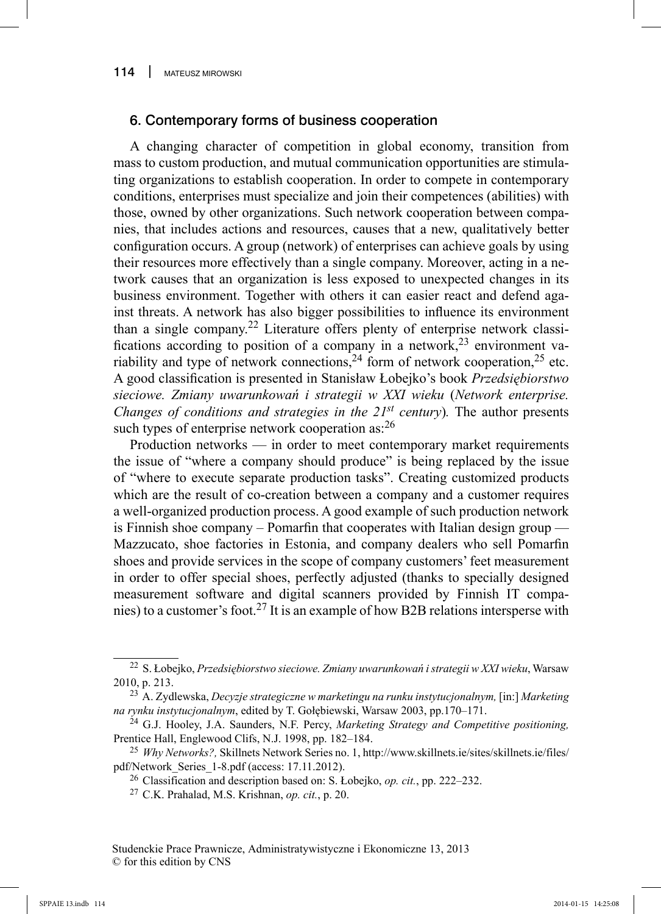### 6. Contemporary forms of business cooperation

A changing character of competition in global economy, transition from mass to custom production, and mutual communication opportunities are stimulating organizations to establish cooperation. In order to compete in contemporary conditions, enterprises must specialize and join their competences (abilities) with those, owned by other organizations. Such network cooperation between companies, that includes actions and resources, causes that a new, qualitatively better configuration occurs. A group (network) of enterprises can achieve goals by using their resources more effectively than a single company. Moreover, acting in a network causes that an organization is less exposed to unexpected changes in its business environment. Together with others it can easier react and defend against threats. A network has also bigger possibilities to influence its environment than a single company.22 Literature offers plenty of enterprise network classifications according to position of a company in a network,  $2^3$  environment variability and type of network connections,  $24$  form of network cooperation,  $25$  etc. A good classifi cation is presented in Stanisław Łobejko's book *Przedsiębiorstwo sieciowe. Zmiany uwarunkowań i strategii w XXI wieku* (*Network enterprise. Changes of conditions and strategies in the*  $21^{st}$  *century). The author presents* such types of enterprise network cooperation as: 26

Production networks — in order to meet contemporary market requirements the issue of "where a company should produce" is being replaced by the issue of "where to execute separate production tasks". Creating customized products which are the result of co-creation between a company and a customer requires a well-organized production process. A good example of such production network is Finnish shoe company – Pomarfin that cooperates with Italian design group — Mazzucato, shoe factories in Estonia, and company dealers who sell Pomarfin shoes and provide services in the scope of company customers' feet measurement in order to offer special shoes, perfectly adjusted (thanks to specially designed measurement software and digital scanners provided by Finnish IT companies) to a customer's foot.27 It is an example of how B2B relations intersperse with

<sup>22</sup> S. Łobejko, *Przedsiębiorstwo sieciowe. Zmiany uwarunkowań i strategii w XXI wieku*, Warsaw 2010, p. 213.

<sup>23</sup> A. Zydlewska, *Decyzje strategiczne w marketingu na runku instytucjonalnym,* [in:] *Marketing na rynku instytucjonalnym*, edited by T. Gołębiewski, Warsaw 2003, pp.170–171.

<sup>24</sup> G.J. Hooley, J.A. Saunders, N.F. Percy, *Marketing Strategy and Competitive positioning,*  Prentice Hall, Englewood Clifs, N.J. 1998, pp. 182–184.

<sup>25</sup>*Why Networks?,* Skillnets Network Series no. 1, http://www.skillnets.ie/sites/skillnets.ie/files/ pdf/Network\_Series\_1-8.pdf (access: 17.11.2012).

<sup>26</sup> Classification and description based on: S. Łobejko, *op. cit.*, pp. 222–232.

<sup>27</sup> C.K. Prahalad, M.S. Krishnan, *op. cit.*, p. 20.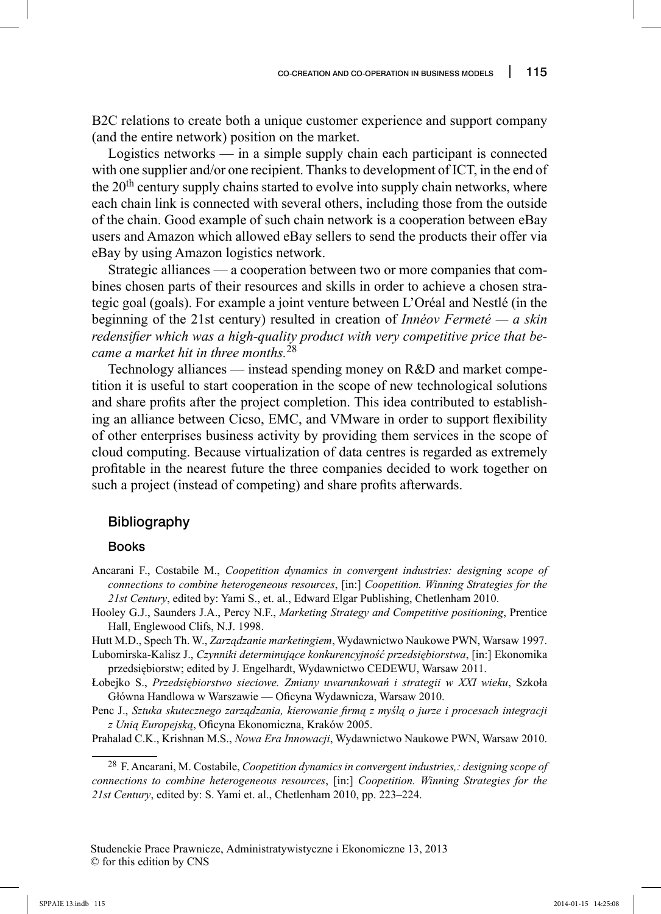B2C relations to create both a unique customer experience and support company (and the entire network) position on the market.

Logistics networks — in a simple supply chain each participant is connected with one supplier and/or one recipient. Thanks to development of ICT, in the end of the 20<sup>th</sup> century supply chains started to evolve into supply chain networks, where each chain link is connected with several others, including those from the outside of the chain. Good example of such chain network is a cooperation between eBay users and Amazon which allowed eBay sellers to send the products their offer via eBay by using Amazon logistics network.

Strategic alliances — a cooperation between two or more companies that combines chosen parts of their resources and skills in order to achieve a chosen strategic goal (goals). For example a joint venture between L'Oréal and Nestlé (in the beginning of the 21st century) resulted in creation of *Innéov Fermeté — a skin*  redensifier which was a high-quality product with very competitive price that be*came a market hit in three months.*<sup>28</sup>

Technology alliances — instead spending money on R&D and market competition it is useful to start cooperation in the scope of new technological solutions and share profits after the project completion. This idea contributed to establishing an alliance between Cicso, EMC, and VMware in order to support flexibility of other enterprises business activity by providing them services in the scope of cloud computing. Because virtualization of data centres is regarded as extremely profitable in the nearest future the three companies decided to work together on such a project (instead of competing) and share profits afterwards.

#### Bibliography

#### Books

Ancarani F., Costabile M., *Coopetition dynamics in convergent industries: designing scope of connections to combine heterogeneous resources*, [in:] *Coopetition. Winning Strategies for the 21st Century*, edited by: Yami S., et. al., Edward Elgar Publishing, Chetlenham 2010.

- Hooley G.J., Saunders J.A., Percy N.F., *Marketing Strategy and Competitive positioning*, Prentice Hall, Englewood Clifs, N.J. 1998.
- Hutt M.D., Spech Th. W., *Zarządzanie marketingiem*, Wydawnictwo Naukowe PWN, Warsaw 1997.
- Lubomirska-Kalisz J., *Czynniki determinujące konkurencyjność przedsiębiorstwa*, [in:] Ekonomika przedsiębiorstw; edited by J. Engelhardt, Wydawnictwo CEDEWU, Warsaw 2011.
- Łobejko S., *Przedsiębiorstwo sieciowe. Zmiany uwarunkowań i strategii w XXI wieku*, Szkoła Główna Handlowa w Warszawie — Oficyna Wydawnicza, Warsaw 2010.
- Penc J., *Sztuka skutecznego zarządzania, kierowanie firmą z myślą o jurze i procesach integracji z Unią Europejską*, Ofi cyna Ekonomiczna, Kraków 2005.
- Prahalad C.K., Krishnan M.S., *Nowa Era Innowacji*, Wydawnictwo Naukowe PWN, Warsaw 2010.

<sup>28</sup> F. Ancarani, M. Costabile, *Coopetition dynamics in convergent industries,: designing scope of connections to combine heterogeneous resources*, [in:] *Coopetition. Winning Strategies for the 21st Century*, edited by: S. Yami et. al., Chetlenham 2010, pp. 223–224.